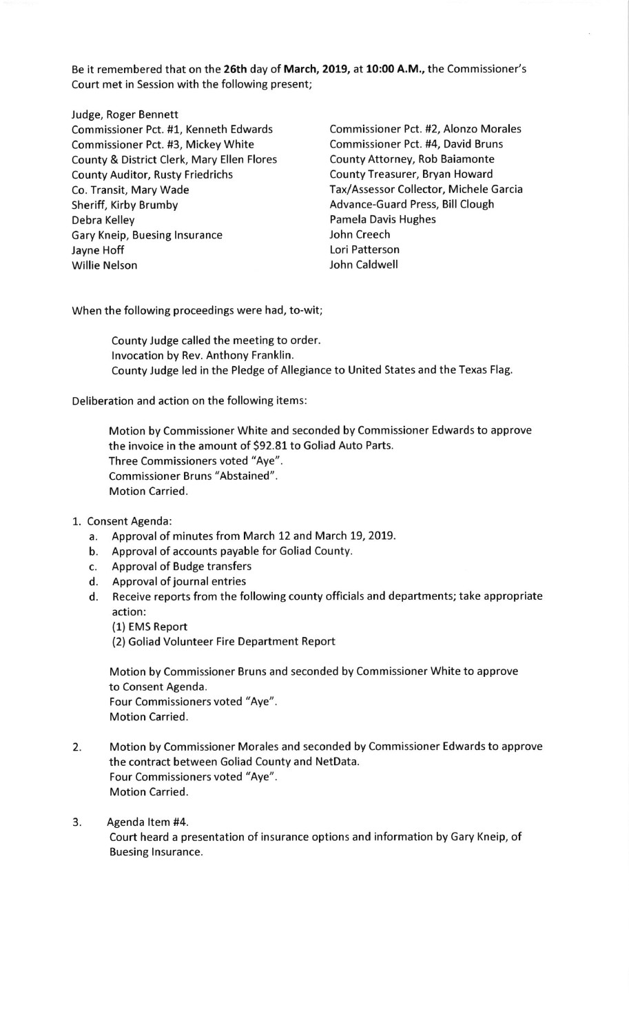Be it remembered that on the 26th day of March, 2019, at 10:00 A.M., the Commissioner's Court met in Session with the following present;

Judge, Roger Bennett Commissioner Pct. #1, Kenneth Edwards Commissioner Pct. #2, Alonzo Morales Commissioner Pct. #3, Mickey White Commissioner Pct. #4, David Bruns County & District Clerk, Mary Ellen Flores County Attorney, Rob Baiamonte County Auditor, Rusty Friedrichs County Treasurer, Bryan Howard Co. Transit, Mary Wade Tax/Assessor Collector, Michele Garcia Sheriff, Kirby Brumby **Advance-Guard Press**, Bill Clough Debra Kelley **Pamela Davis Hughes** Gary Kneip, Buesing Insurance **Gary Constants In American** John Creech Jayne Hoff **Lori Patterson** Willie Nelson **Willie Nelson** John Caldwell

When the following proceedings were had, to-wit;

County Judge called the meeting to order. lnvocation by Rev. Anthony Franklin. County Judge led in the Pledge of Allegiance to United States and the Texas Flag.

Deliberation and action on the following items:

Motion by Commissioner White and seconded by Commissioner Edwards to approve the invoice in the amount of 592.81 to Goliad Auto Parts. Three Commissioners voted "Aye". Commissioner Bruns "Abstained". Motion Carried.

- 1. Consent Agenda:
	- a. Approval of minutes from March 12 and March 19,2019.
	- b. Approval of accounts payable for Goliad County.
	- c. Approval of Budge transfers
	- d. Approval of journal entries
	- d. Receive reports from the following county officials and departments; take appropriate action:
		- (1) EMS Report
		- (2) Goliad Volunteer Fire Department Report

Motion by Commissioner Bruns and seconded by Commissioner White to approve to Consent Agenda. Four Commissioners voted "Aye". Motion Carried.

- 2. Motion by Commissioner Morales and seconded by Commissioner Edwards to approve the contract between Goliad County and NetData. Four Commissioners voted "Aye". Motion Carried.
- 3. Agenda ltem #4.

Court heard a presentation of insurance options and information by Gary Kneip, of Buesing Insurance.